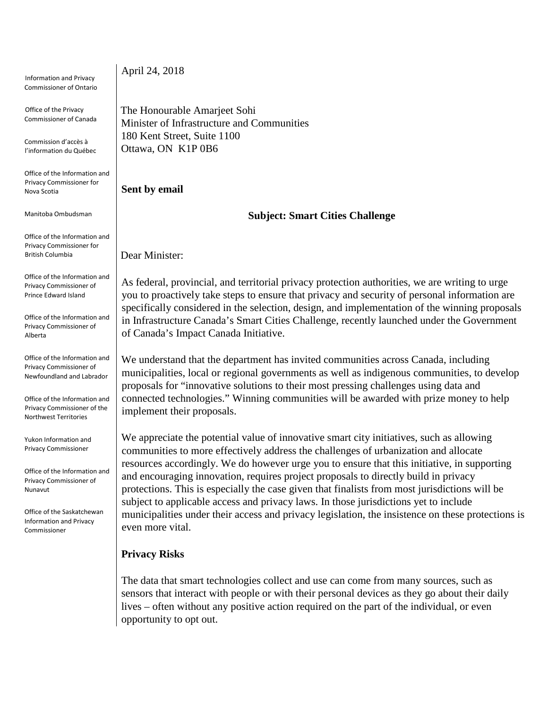Information and Privacy Commissioner of Ontario Office of the Privacy Commissioner of Canada Commission d'accès à l'information du Québec Office of the Information and Privacy Commissioner for Nova Scotia Manitoba Ombudsman Office of the Information and Privacy Commissioner for British Columbia Office of the Information and Privacy Commissioner of Prince Edward Island Office of the Information and Privacy Commissioner of Alberta Office of the Information and Privacy Commissioner of Newfoundland and Labrador Office of the Information and Privacy Commissioner of the Northwest Territories Yukon Information and Privacy Commissioner Office of the Information and Privacy Commissioner of Nunavut Office of the Saskatchewan Information and Privacy Commissioner April 24, 2018 The Honourable Amarjeet Sohi Minister of Infrastructure and Communities 180 Kent Street, Suite 1100 Ottawa, ON K1P 0B6 **Sent by email**  Dear Minister: of Canada's Impact Canada Initiative. implement their proposals. even more vital. **Privacy Risks** opportunity to opt out.

**Subject: Smart Cities Challenge**

As federal, provincial, and territorial privacy protection authorities, we are writing to urge you to proactively take steps to ensure that privacy and security of personal information are specifically considered in the selection, design, and implementation of the winning proposals in Infrastructure Canada's Smart Cities Challenge, recently launched under the Government

We understand that the department has invited communities across Canada, including municipalities, local or regional governments as well as indigenous communities, to develop proposals for "innovative solutions to their most pressing challenges using data and connected technologies." Winning communities will be awarded with prize money to help

We appreciate the potential value of innovative smart city initiatives, such as allowing communities to more effectively address the challenges of urbanization and allocate resources accordingly. We do however urge you to ensure that this initiative, in supporting and encouraging innovation, requires project proposals to directly build in privacy protections. This is especially the case given that finalists from most jurisdictions will be subject to applicable access and privacy laws. In those jurisdictions yet to include municipalities under their access and privacy legislation, the insistence on these protections is

The data that smart technologies collect and use can come from many sources, such as sensors that interact with people or with their personal devices as they go about their daily lives – often without any positive action required on the part of the individual, or even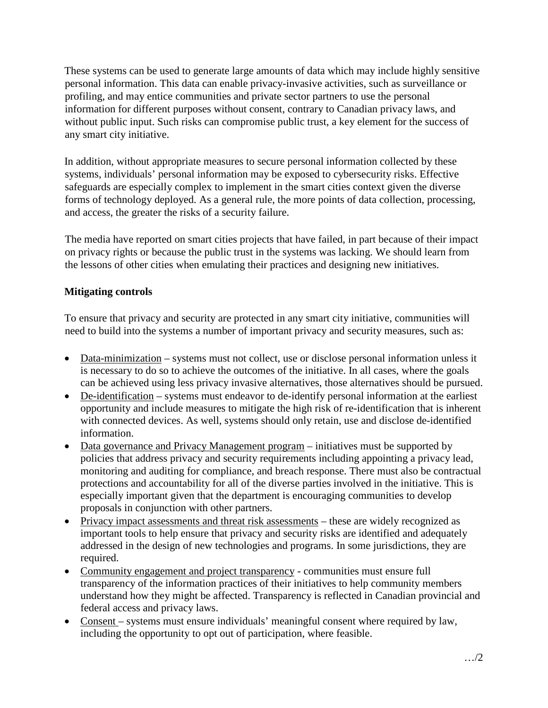These systems can be used to generate large amounts of data which may include highly sensitive personal information. This data can enable privacy-invasive activities, such as surveillance or profiling, and may entice communities and private sector partners to use the personal information for different purposes without consent, contrary to Canadian privacy laws, and without public input. Such risks can compromise public trust, a key element for the success of any smart city initiative.

In addition, without appropriate measures to secure personal information collected by these systems, individuals' personal information may be exposed to cybersecurity risks. Effective safeguards are especially complex to implement in the smart cities context given the diverse forms of technology deployed. As a general rule, the more points of data collection, processing, and access, the greater the risks of a security failure.

The media have reported on smart cities projects that have failed, in part because of their impact on privacy rights or because the public trust in the systems was lacking. We should learn from the lessons of other cities when emulating their practices and designing new initiatives.

# **Mitigating controls**

To ensure that privacy and security are protected in any smart city initiative, communities will need to build into the systems a number of important privacy and security measures, such as:

- Data-minimization systems must not collect, use or disclose personal information unless it is necessary to do so to achieve the outcomes of the initiative. In all cases, where the goals can be achieved using less privacy invasive alternatives, those alternatives should be pursued.
- De-identification systems must endeavor to de-identify personal information at the earliest opportunity and include measures to mitigate the high risk of re-identification that is inherent with connected devices. As well, systems should only retain, use and disclose de-identified information.
- Data governance and Privacy Management program initiatives must be supported by policies that address privacy and security requirements including appointing a privacy lead, monitoring and auditing for compliance, and breach response. There must also be contractual protections and accountability for all of the diverse parties involved in the initiative. This is especially important given that the department is encouraging communities to develop proposals in conjunction with other partners.
- Privacy impact assessments and threat risk assessments these are widely recognized as important tools to help ensure that privacy and security risks are identified and adequately addressed in the design of new technologies and programs. In some jurisdictions, they are required.
- Community engagement and project transparency communities must ensure full transparency of the information practices of their initiatives to help community members understand how they might be affected. Transparency is reflected in Canadian provincial and federal access and privacy laws.
- Consent systems must ensure individuals' meaningful consent where required by law, including the opportunity to opt out of participation, where feasible.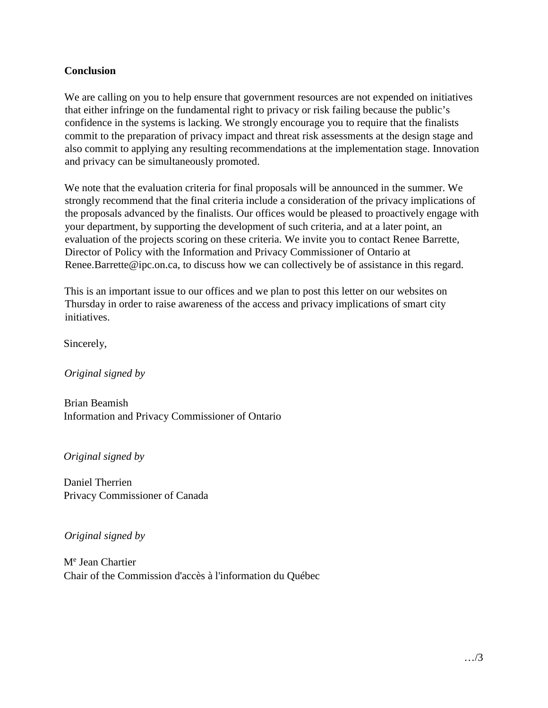### **Conclusion**

We are calling on you to help ensure that government resources are not expended on initiatives that either infringe on the fundamental right to privacy or risk failing because the public's confidence in the systems is lacking. We strongly encourage you to require that the finalists commit to the preparation of privacy impact and threat risk assessments at the design stage and also commit to applying any resulting recommendations at the implementation stage. Innovation and privacy can be simultaneously promoted.

We note that the evaluation criteria for final proposals will be announced in the summer. We strongly recommend that the final criteria include a consideration of the privacy implications of the proposals advanced by the finalists. Our offices would be pleased to proactively engage with your department, by supporting the development of such criteria, and at a later point, an evaluation of the projects scoring on these criteria. We invite you to contact Renee Barrette, Director of Policy with the Information and Privacy Commissioner of Ontario at Renee.Barrette@ipc.on.ca, to discuss how we can collectively be of assistance in this regard.

This is an important issue to our offices and we plan to post this letter on our websites on Thursday in order to raise awareness of the access and privacy implications of smart city initiatives.

Sincerely,

*Original signed by*

Brian Beamish Information and Privacy Commissioner of Ontario

*Original signed by*

Daniel Therrien Privacy Commissioner of Canada

*Original signed by*

M<sup>e</sup> Jean Chartier Chair of the Commission d'accès à l'information du Québec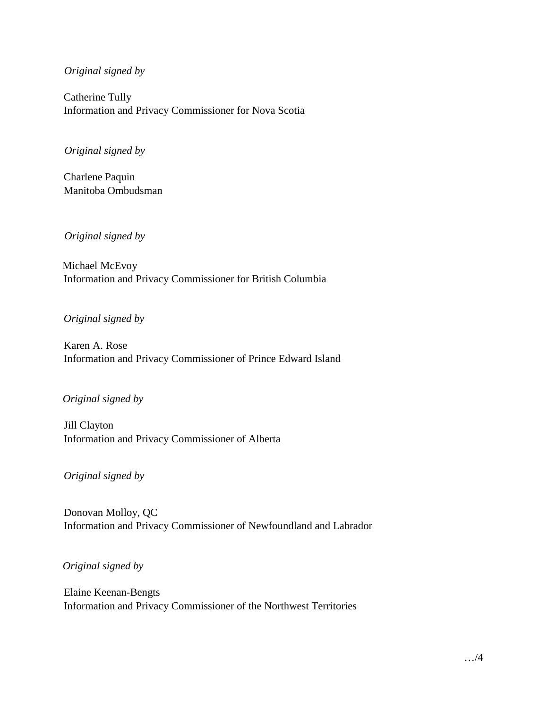#### *Original signed by*

Catherine Tully Information and Privacy Commissioner for Nova Scotia

#### *Original signed by*

Charlene Paquin Manitoba Ombudsman

*Original signed by*

Michael McEvoy Information and Privacy Commissioner for British Columbia

*Original signed by*

Karen A. Rose Information and Privacy Commissioner of Prince Edward Island

### *Original signed by*

Jill Clayton Information and Privacy Commissioner of Alberta

*Original signed by*

Donovan Molloy, QC Information and Privacy Commissioner of Newfoundland and Labrador

*Original signed by*

Elaine Keenan-Bengts Information and Privacy Commissioner of the Northwest Territories